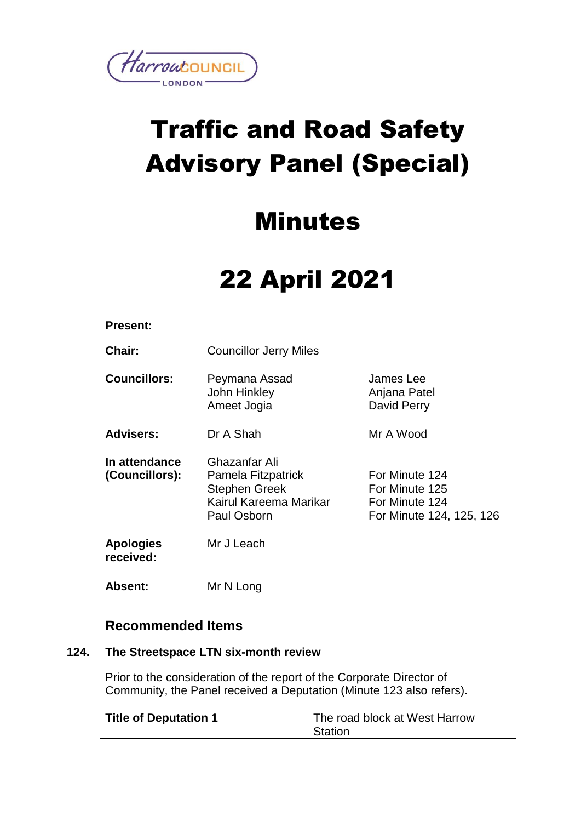

# Traffic and Road Safety Advisory Panel (Special)

### Minutes

## 22 April 2021

#### **Present:**

**Chair:** Councillor Jerry Miles

**Councillors:** Peymana Assad John Hinkley Ameet Jogia James Lee Anjana Patel David Perry

**Advisers:** Dr A Shah Mr A Wood

**In attendance (Councillors):** Ghazanfar Ali Pamela Fitzpatrick Stephen Greek Kairul Kareema Marikar Paul Osborn For Minute 124 For Minute 125 For Minute 124 For Minute 124, 125, 126

**Apologies received:** Mr J Leach

**Absent:** Mr N Long

#### **Recommended Items**

#### **124. The Streetspace LTN six-month review**

Prior to the consideration of the report of the Corporate Director of Community, the Panel received a Deputation (Minute 123 also refers).

| Title of Deputation 1 | The road block at West Harrow |
|-----------------------|-------------------------------|
|                       | Station                       |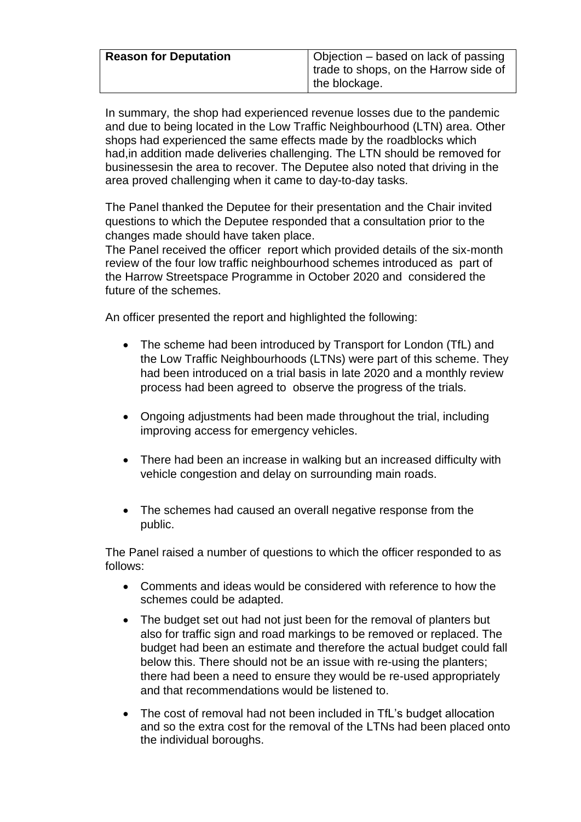| <b>Reason for Deputation</b> | Objection – based on lack of passing<br>trade to shops, on the Harrow side of |
|------------------------------|-------------------------------------------------------------------------------|
|                              | the blockage.                                                                 |

In summary, the shop had experienced revenue losses due to the pandemic and due to being located in the Low Traffic Neighbourhood (LTN) area. Other shops had experienced the same effects made by the roadblocks which had,in addition made deliveries challenging. The LTN should be removed for businessesin the area to recover. The Deputee also noted that driving in the area proved challenging when it came to day-to-day tasks.

The Panel thanked the Deputee for their presentation and the Chair invited questions to which the Deputee responded that a consultation prior to the changes made should have taken place.

The Panel received the officer report which provided details of the six-month review of the four low traffic neighbourhood schemes introduced as part of the Harrow Streetspace Programme in October 2020 and considered the future of the schemes.

An officer presented the report and highlighted the following:

- The scheme had been introduced by Transport for London (TfL) and the Low Traffic Neighbourhoods (LTNs) were part of this scheme. They had been introduced on a trial basis in late 2020 and a monthly review process had been agreed to observe the progress of the trials.
- Ongoing adjustments had been made throughout the trial, including improving access for emergency vehicles.
- There had been an increase in walking but an increased difficulty with vehicle congestion and delay on surrounding main roads.
- The schemes had caused an overall negative response from the public.

The Panel raised a number of questions to which the officer responded to as follows:

- Comments and ideas would be considered with reference to how the schemes could be adapted.
- The budget set out had not just been for the removal of planters but also for traffic sign and road markings to be removed or replaced. The budget had been an estimate and therefore the actual budget could fall below this. There should not be an issue with re-using the planters; there had been a need to ensure they would be re-used appropriately and that recommendations would be listened to.
- The cost of removal had not been included in TfL's budget allocation and so the extra cost for the removal of the LTNs had been placed onto the individual boroughs.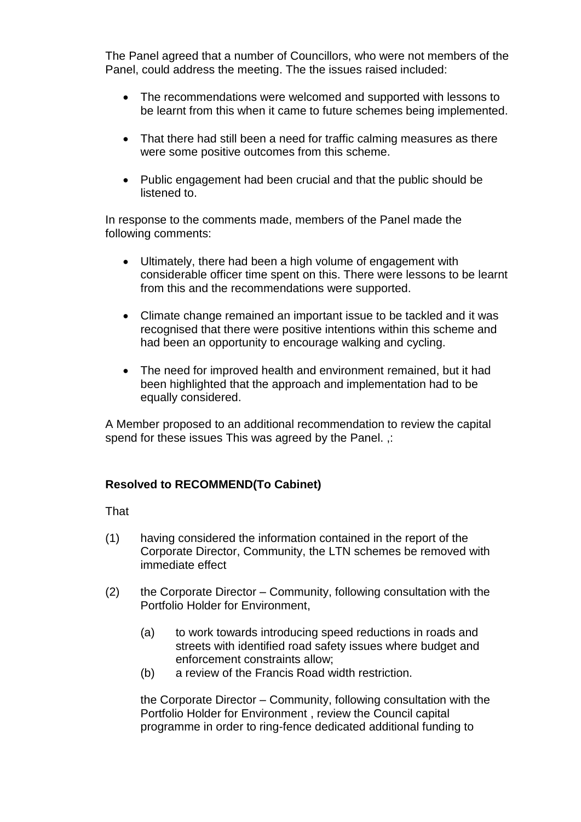The Panel agreed that a number of Councillors, who were not members of the Panel, could address the meeting. The the issues raised included:

- The recommendations were welcomed and supported with lessons to be learnt from this when it came to future schemes being implemented.
- That there had still been a need for traffic calming measures as there were some positive outcomes from this scheme.
- Public engagement had been crucial and that the public should be listened to.

In response to the comments made, members of the Panel made the following comments:

- Ultimately, there had been a high volume of engagement with considerable officer time spent on this. There were lessons to be learnt from this and the recommendations were supported.
- Climate change remained an important issue to be tackled and it was recognised that there were positive intentions within this scheme and had been an opportunity to encourage walking and cycling.
- The need for improved health and environment remained, but it had been highlighted that the approach and implementation had to be equally considered.

A Member proposed to an additional recommendation to review the capital spend for these issues This was agreed by the Panel. ,:

#### **Resolved to RECOMMEND(To Cabinet)**

That

- (1) having considered the information contained in the report of the Corporate Director, Community, the LTN schemes be removed with immediate effect
- (2) the Corporate Director Community, following consultation with the Portfolio Holder for Environment,
	- (a) to work towards introducing speed reductions in roads and streets with identified road safety issues where budget and enforcement constraints allow;
	- (b) a review of the Francis Road width restriction.

the Corporate Director – Community, following consultation with the Portfolio Holder for Environment , review the Council capital programme in order to ring-fence dedicated additional funding to